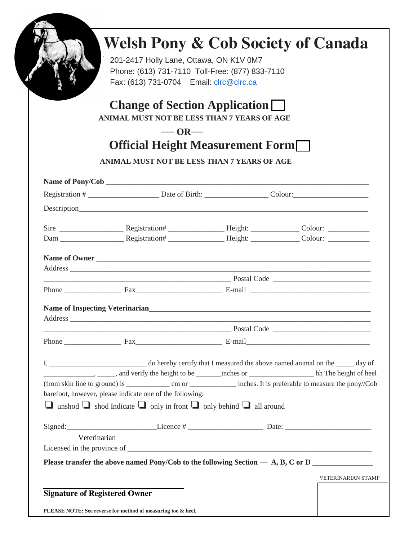

## **Welsh Pony & Cob Society of Canada**

201-2417 Holly Lane, Ottawa, ON K1V 0M7 Phone: (613) 731-7110 Toll-Free: (877) 833-7110 Fax: (613) 731-0704 Email: [clrc@clrc.ca](mailto:clrc@clrc.ca)

## **Change of Section Application**

 **ANIMAL MUST NOT BE LESS THAN 7 YEARS OF AGE**

## **— OR—**

## **Official Height Measurement Form**

 **ANIMAL MUST NOT BE LESS THAN 7 YEARS OF AGE**

|                                      |                                                                                              |  | Name of Owner                                                                                                                                                                                                                                                                                             |  |
|--------------------------------------|----------------------------------------------------------------------------------------------|--|-----------------------------------------------------------------------------------------------------------------------------------------------------------------------------------------------------------------------------------------------------------------------------------------------------------|--|
|                                      |                                                                                              |  |                                                                                                                                                                                                                                                                                                           |  |
|                                      |                                                                                              |  |                                                                                                                                                                                                                                                                                                           |  |
|                                      |                                                                                              |  |                                                                                                                                                                                                                                                                                                           |  |
|                                      |                                                                                              |  |                                                                                                                                                                                                                                                                                                           |  |
|                                      |                                                                                              |  |                                                                                                                                                                                                                                                                                                           |  |
|                                      | <u>Postal Code</u> <b>Example 2018 Postal Code Example 2018 Postal Code Example 2019</b>     |  |                                                                                                                                                                                                                                                                                                           |  |
|                                      |                                                                                              |  |                                                                                                                                                                                                                                                                                                           |  |
|                                      |                                                                                              |  |                                                                                                                                                                                                                                                                                                           |  |
|                                      |                                                                                              |  |                                                                                                                                                                                                                                                                                                           |  |
|                                      |                                                                                              |  |                                                                                                                                                                                                                                                                                                           |  |
|                                      |                                                                                              |  |                                                                                                                                                                                                                                                                                                           |  |
|                                      | barefoot, however, please indicate one of the following:                                     |  |                                                                                                                                                                                                                                                                                                           |  |
|                                      | $\Box$ unshod $\Box$ shod Indicate $\Box$ only in front $\Box$ only behind $\Box$ all around |  |                                                                                                                                                                                                                                                                                                           |  |
|                                      |                                                                                              |  | $Sigma$ : $Date:$ $Date:$ $Date:$ $Date:$ $Date:$ $Date:$ $Date:$ $Date:$ $Date:$ $Date:$ $Date:$ $Date:$ $Date:$ $Date:$ $Date:$ $Date:$ $Date:$ $Date:$ $Date:$ $Date:$ $Date:$ $Date:$ $Date:$ $Date:$ $Date:$ $Date:$ $Date:$ $Date:$ $Date:$ $Date:$ $Date:$ $Date:$ $Date:$ $Date:$ $Date:$ $Date:$ |  |
| Veterinarian                         |                                                                                              |  |                                                                                                                                                                                                                                                                                                           |  |
|                                      |                                                                                              |  |                                                                                                                                                                                                                                                                                                           |  |
|                                      |                                                                                              |  | Please transfer the above named Pony/Cob to the following Section $- A$ , B, C or D                                                                                                                                                                                                                       |  |
|                                      |                                                                                              |  | <b>VETERINARIAN STAMP</b>                                                                                                                                                                                                                                                                                 |  |
|                                      |                                                                                              |  |                                                                                                                                                                                                                                                                                                           |  |
| <b>Signature of Registered Owner</b> |                                                                                              |  |                                                                                                                                                                                                                                                                                                           |  |
|                                      | PLEASE NOTE: See reverse for method of measuring toe & heel.                                 |  |                                                                                                                                                                                                                                                                                                           |  |